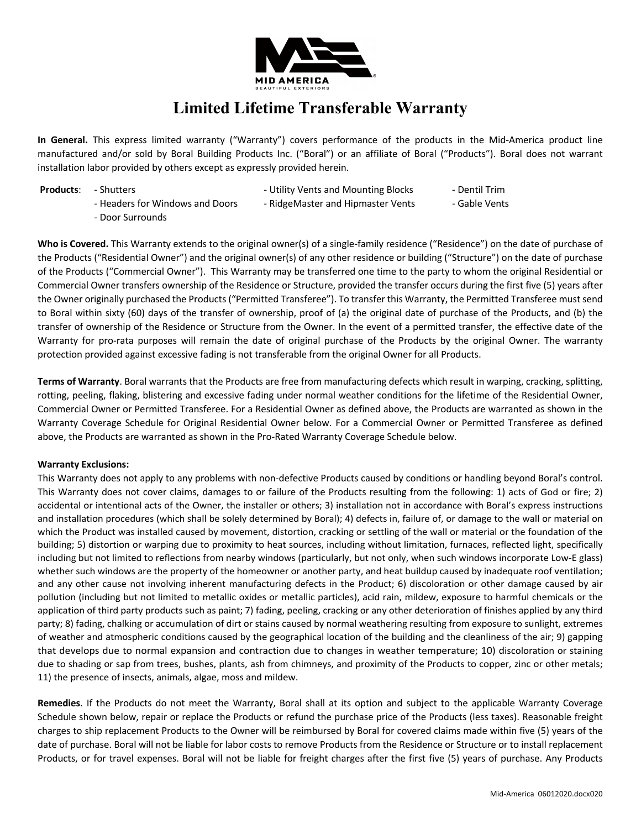

## **Limited Lifetime Transferable Warranty**

**In General.** This express limited warranty ("Warranty") covers performance of the products in the Mid-America product line manufactured and/or sold by Boral Building Products Inc. ("Boral") or an affiliate of Boral ("Products"). Boral does not warrant installation labor provided by others except as expressly provided herein.

- 
- **Products:** Shutters - The Shutters Utility Vents and Mounting Blocks Dentil Trim
	-
- 
- Headers for Windows and Doors RidgeMaster and Hipmaster Vents Gable Vents
- 

- Door Surrounds

**Who is Covered.** This Warranty extends to the original owner(s) of a single-family residence ("Residence") on the date of purchase of the Products ("Residential Owner") and the original owner(s) of any other residence or building ("Structure") on the date of purchase of the Products ("Commercial Owner"). This Warranty may be transferred one time to the party to whom the original Residential or Commercial Owner transfers ownership of the Residence or Structure, provided the transfer occurs during the first five (5) years after the Owner originally purchased the Products ("Permitted Transferee"). To transfer this Warranty, the Permitted Transferee must send to Boral within sixty (60) days of the transfer of ownership, proof of (a) the original date of purchase of the Products, and (b) the transfer of ownership of the Residence or Structure from the Owner. In the event of a permitted transfer, the effective date of the Warranty for pro-rata purposes will remain the date of original purchase of the Products by the original Owner. The warranty protection provided against excessive fading is not transferable from the original Owner for all Products.

**Terms of Warranty**. Boral warrants that the Products are free from manufacturing defects which result in warping, cracking, splitting, rotting, peeling, flaking, blistering and excessive fading under normal weather conditions for the lifetime of the Residential Owner, Commercial Owner or Permitted Transferee. For a Residential Owner as defined above, the Products are warranted as shown in the Warranty Coverage Schedule for Original Residential Owner below. For a Commercial Owner or Permitted Transferee as defined above, the Products are warranted as shown in the Pro-Rated Warranty Coverage Schedule below.

## **Warranty Exclusions:**

This Warranty does not apply to any problems with non-defective Products caused by conditions or handling beyond Boral's control. This Warranty does not cover claims, damages to or failure of the Products resulting from the following: 1) acts of God or fire; 2) accidental or intentional acts of the Owner, the installer or others; 3) installation not in accordance with Boral's express instructions and installation procedures (which shall be solely determined by Boral); 4) defects in, failure of, or damage to the wall or material on which the Product was installed caused by movement, distortion, cracking or settling of the wall or material or the foundation of the building; 5) distortion or warping due to proximity to heat sources, including without limitation, furnaces, reflected light, specifically including but not limited to reflections from nearby windows (particularly, but not only, when such windows incorporate Low-E glass) whether such windows are the property of the homeowner or another party, and heat buildup caused by inadequate roof ventilation; and any other cause not involving inherent manufacturing defects in the Product; 6) discoloration or other damage caused by air pollution (including but not limited to metallic oxides or metallic particles), acid rain, mildew, exposure to harmful chemicals or the application of third party products such as paint; 7) fading, peeling, cracking or any other deterioration of finishes applied by any third party; 8) fading, chalking or accumulation of dirt or stains caused by normal weathering resulting from exposure to sunlight, extremes of weather and atmospheric conditions caused by the geographical location of the building and the cleanliness of the air; 9) gapping that develops due to normal expansion and contraction due to changes in weather temperature; 10) discoloration or staining due to shading or sap from trees, bushes, plants, ash from chimneys, and proximity of the Products to copper, zinc or other metals; 11) the presence of insects, animals, algae, moss and mildew.

**Remedies**. If the Products do not meet the Warranty, Boral shall at its option and subject to the applicable Warranty Coverage Schedule shown below, repair or replace the Products or refund the purchase price of the Products (less taxes). Reasonable freight charges to ship replacement Products to the Owner will be reimbursed by Boral for covered claims made within five (5) years of the date of purchase. Boral will not be liable for labor costs to remove Products from the Residence or Structure or to install replacement Products, or for travel expenses. Boral will not be liable for freight charges after the first five (5) years of purchase. Any Products